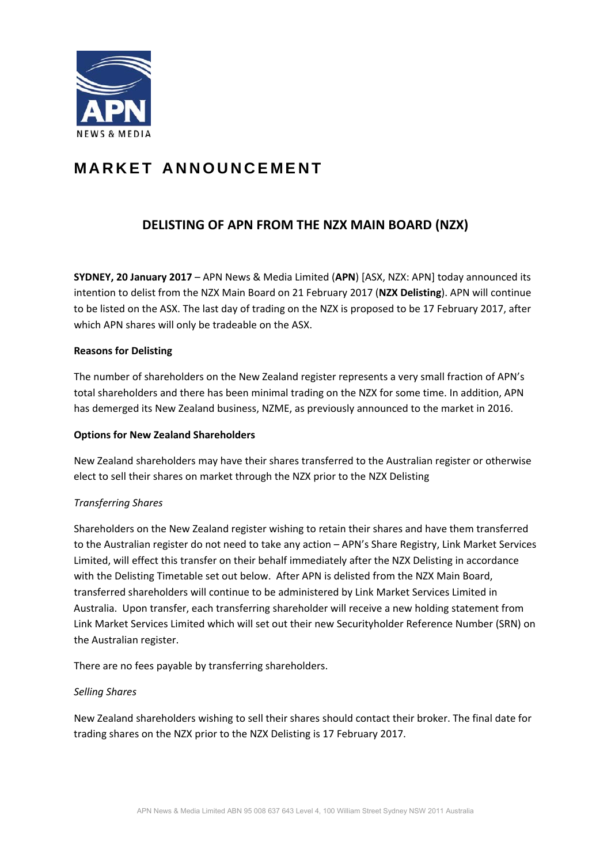

# **MARKET ANNOUNCEMENT**

# **DELISTING OF APN FROM THE NZX MAIN BOARD (NZX)**

**SYDNEY, 20 January 2017** – APN News & Media Limited (**APN**) [ASX, NZX: APN] today announced its intention to delist from the NZX Main Board on 21 February 2017 (**NZX Delisting**). APN will continue to be listed on the ASX. The last day of trading on the NZX is proposed to be 17 February 2017, after which APN shares will only be tradeable on the ASX.

## **Reasons for Delisting**

The number of shareholders on the New Zealand register represents a very small fraction of APN's total shareholders and there has been minimal trading on the NZX for some time. In addition, APN has demerged its New Zealand business, NZME, as previously announced to the market in 2016.

### **Options for New Zealand Shareholders**

New Zealand shareholders may have their shares transferred to the Australian register or otherwise elect to sell their shares on market through the NZX prior to the NZX Delisting

# *Transferring Shares*

Shareholders on the New Zealand register wishing to retain their shares and have them transferred to the Australian register do not need to take any action – APN's Share Registry, Link Market Services Limited, will effect this transfer on their behalf immediately after the NZX Delisting in accordance with the Delisting Timetable set out below. After APN is delisted from the NZX Main Board, transferred shareholders will continue to be administered by Link Market Services Limited in Australia. Upon transfer, each transferring shareholder will receive a new holding statement from Link Market Services Limited which will set out their new Securityholder Reference Number (SRN) on the Australian register.

There are no fees payable by transferring shareholders.

#### *Selling Shares*

New Zealand shareholders wishing to sell their shares should contact their broker. The final date for trading shares on the NZX prior to the NZX Delisting is 17 February 2017.